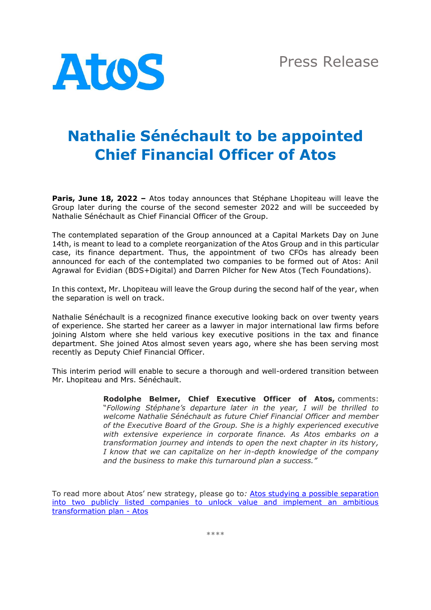

## **Nathalie Sénéchault to be appointed Chief Financial Officer of Atos**

**Paris, June 18, 2022 –** Atos today announces that Stéphane Lhopiteau will leave the Group later during the course of the second semester 2022 and will be succeeded by Nathalie Sénéchault as Chief Financial Officer of the Group.

The contemplated separation of the Group announced at a Capital Markets Day on June 14th, is meant to lead to a complete reorganization of the Atos Group and in this particular case, its finance department. Thus, the appointment of two CFOs has already been announced for each of the contemplated two companies to be formed out of Atos: Anil Agrawal for Evidian (BDS+Digital) and Darren Pilcher for New Atos (Tech Foundations).

In this context, Mr. Lhopiteau will leave the Group during the second half of the year, when the separation is well on track.

Nathalie Sénéchault is a recognized finance executive looking back on over twenty years of experience. She started her career as a lawyer in major international law firms before joining Alstom where she held various key executive positions in the tax and finance department. She joined Atos almost seven years ago, where she has been serving most recently as Deputy Chief Financial Officer.

This interim period will enable to secure a thorough and well-ordered transition between Mr. Lhopiteau and Mrs. Sénéchault.

> **Rodolphe Belmer, Chief Executive Officer of Atos,** comments: "*Following Stéphane's departure later in the year, I will be thrilled to welcome Nathalie Sénéchault as future Chief Financial Officer and member of the Executive Board of the Group. She is a highly experienced executive with extensive experience in corporate finance. As Atos embarks on a transformation journey and intends to open the next chapter in its history, I know that we can capitalize on her in-depth knowledge of the company and the business to make this turnaround plan a success."*

To read more about Atos' new strategy, please go to*:* [Atos studying a possible separation](https://atos.net/en/2022/press-release_2022_06_14/atos-studying-a-possible-separation-into-two-publicly-listed-companies-to-unlock-value-and-implement-an-ambitious-transformation-plan)  [into two publicly listed companies to unlock value and implement an ambitious](https://atos.net/en/2022/press-release_2022_06_14/atos-studying-a-possible-separation-into-two-publicly-listed-companies-to-unlock-value-and-implement-an-ambitious-transformation-plan)  [transformation plan -](https://atos.net/en/2022/press-release_2022_06_14/atos-studying-a-possible-separation-into-two-publicly-listed-companies-to-unlock-value-and-implement-an-ambitious-transformation-plan) Atos